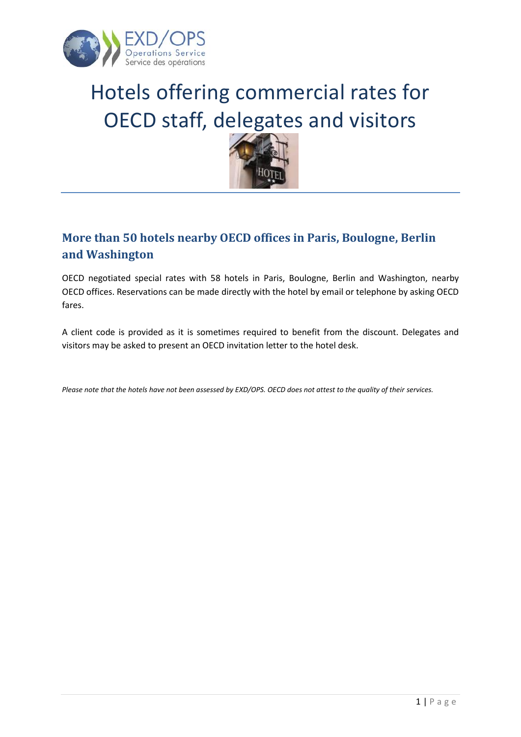

# Hotels offering commercial rates for OECD staff, delegates and visitors



#### <span id="page-0-0"></span>**More than 50 hotels nearby OECD offices in Paris, Boulogne, Berlin and Washington**

OECD negotiated special rates with 58 hotels in Paris, Boulogne, Berlin and Washington, nearby OECD offices. Reservations can be made directly with the hotel by email or telephone by asking OECD fares.

A client code is provided as it is sometimes required to benefit from the discount. Delegates and visitors may be asked to present an OECD invitation letter to the hotel desk.

*Please note that the hotels have not been assessed by EXD/OPS. OECD does not attest to the quality of their services.*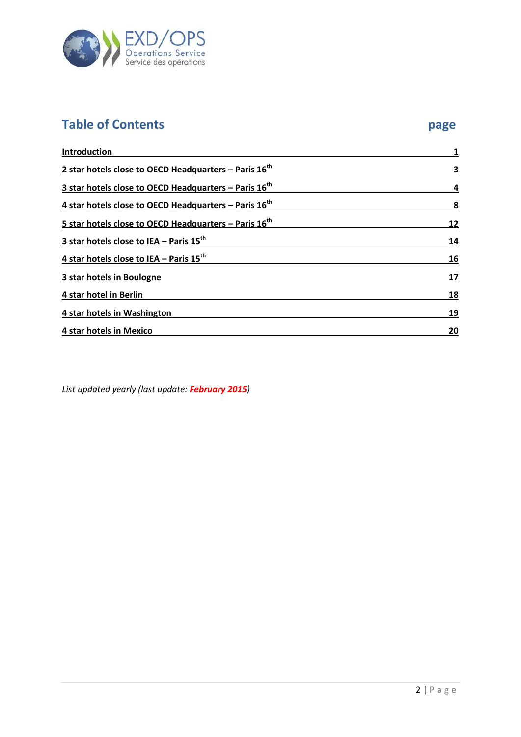<span id="page-1-0"></span>

# **Table of Contents page**

| Introduction                                                        |    |
|---------------------------------------------------------------------|----|
| 2 star hotels close to OECD Headquarters - Paris $16th$             | 3  |
| 3 star hotels close to OECD Headquarters $-$ Paris 16 <sup>th</sup> | 4  |
| 4 star hotels close to OECD Headquarters $-$ Paris 16 <sup>th</sup> | 8  |
| 5 star hotels close to OECD Headquarters $-$ Paris 16 <sup>th</sup> | 12 |
| 3 star hotels close to IEA - Paris $15^{th}$                        | 14 |
| 4 star hotels close to IEA - Paris $15^{th}$                        | 16 |
| 3 star hotels in Boulogne                                           | 17 |
| 4 star hotel in Berlin                                              | 18 |
| 4 star hotels in Washington                                         | 19 |
| 4 star hotels in Mexico                                             | 20 |

*List updated yearly (last update: February 2015)*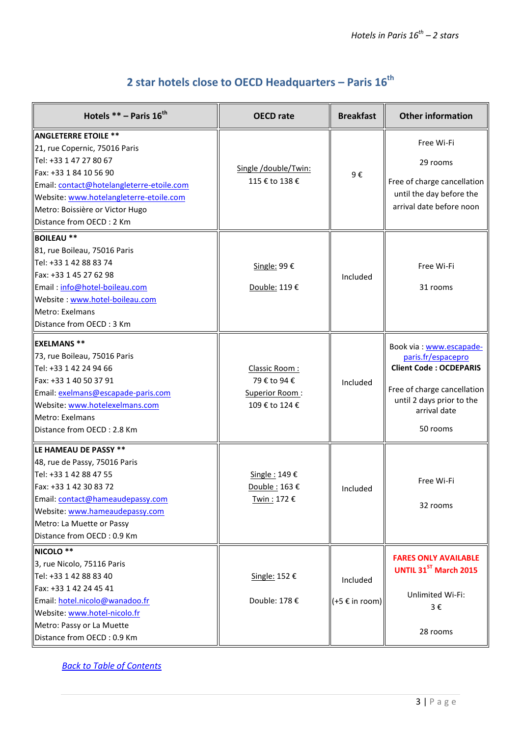## **2 star hotels close to OECD Headquarters – Paris 16th**

<span id="page-2-0"></span>

| Hotels ** - Paris 16 <sup>th</sup>                                                                                                                                                                                                                                      | <b>OECD</b> rate                                                  | <b>Breakfast</b>                      | <b>Other information</b>                                                                                                                                               |
|-------------------------------------------------------------------------------------------------------------------------------------------------------------------------------------------------------------------------------------------------------------------------|-------------------------------------------------------------------|---------------------------------------|------------------------------------------------------------------------------------------------------------------------------------------------------------------------|
| <b>ANGLETERRE ETOILE **</b><br>21, rue Copernic, 75016 Paris<br>Tel: +33 1 47 27 80 67<br>Fax: +33 1 84 10 56 90<br>Email: contact@hotelangleterre-etoile.com<br>Website: www.hotelangleterre-etoile.com<br>Metro: Boissière or Victor Hugo<br>Distance from OECD: 2 Km | Single /double/Twin:<br>115 € to 138 €                            | 9€                                    | Free Wi-Fi<br>29 rooms<br>Free of charge cancellation<br>until the day before the<br>arrival date before noon                                                          |
| <b>BOILEAU **</b><br>81, rue Boileau, 75016 Paris<br>Tel: +33 1 42 88 83 74<br>Fax: +33 1 45 27 62 98<br>Email: info@hotel-boileau.com<br>Website: www.hotel-boileau.com<br>Metro: Exelmans<br>Distance from OECD: 3 Km                                                 | Single: 99 €<br>Double: 119 €                                     | Included                              | Free Wi-Fi<br>31 rooms                                                                                                                                                 |
| <b>EXELMANS **</b><br>73, rue Boileau, 75016 Paris<br>Tel: +33 1 42 24 94 66<br>Fax: +33 1 40 50 37 91<br>Email: exelmans@escapade-paris.com<br>Website: www.hotelexelmans.com<br>Metro: Exelmans<br>Distance from OECD: 2.8 Km                                         | Classic Room:<br>79 € to 94 €<br>Superior Room:<br>109 € to 124 € | Included                              | Book via: www.escapade-<br>paris.fr/espacepro<br><b>Client Code: OCDEPARIS</b><br>Free of charge cancellation<br>until 2 days prior to the<br>arrival date<br>50 rooms |
| LE HAMEAU DE PASSY **<br>48, rue de Passy, 75016 Paris<br>Tel: +33 1 42 88 47 55<br>Fax: +33 1 42 30 83 72<br>Email: contact@hameaudepassy.com<br>Website: www.hameaudepassy.com<br>Metro: La Muette or Passy<br>Distance from OECD: 0.9 Km                             | Single: 149€<br>Double: 163€<br>Twin: 172 €                       | Included                              | Free Wi-Fi<br>32 rooms                                                                                                                                                 |
| NICOLO **<br>3, rue Nicolo, 75116 Paris<br>Tel: +33 1 42 88 83 40<br>Fax: +33 1 42 24 45 41<br>Email: hotel.nicolo@wanadoo.fr<br>Website: www.hotel-nicolo.fr<br>Metro: Passy or La Muette<br>Distance from OECD: 0.9 Km                                                | Single: 152 €<br>Double: 178 €                                    | Included<br>$(+5 \in \text{in room})$ | <b>FARES ONLY AVAILABLE</b><br>UNTIL 31ST March 2015<br>Unlimited Wi-Fi:<br>$3 \epsilon$<br>28 rooms                                                                   |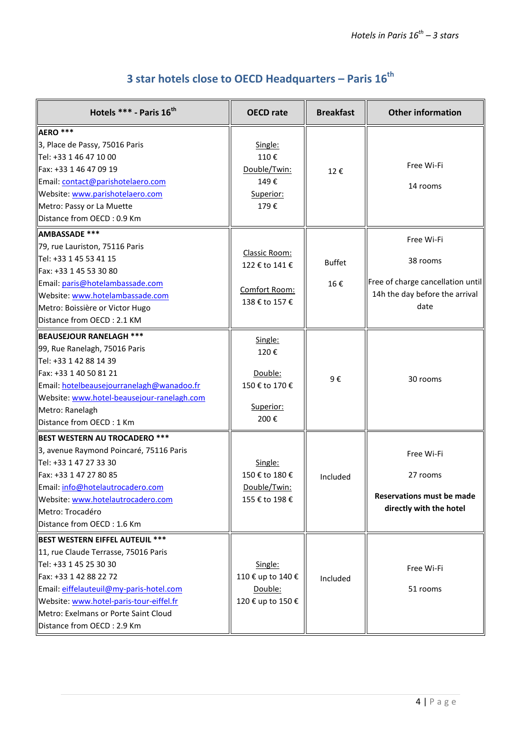| 3 star hotels close to OECD Headquarters - Paris $16^{th}$ |  |
|------------------------------------------------------------|--|
|                                                            |  |

<span id="page-3-0"></span>

| Hotels *** - Paris 16 <sup>th</sup>                                                                                                                                                                                                                                                     | <b>OECD</b> rate                                                   | <b>Breakfast</b>     | <b>Other information</b>                                                                              |
|-----------------------------------------------------------------------------------------------------------------------------------------------------------------------------------------------------------------------------------------------------------------------------------------|--------------------------------------------------------------------|----------------------|-------------------------------------------------------------------------------------------------------|
| AERO ***<br>3, Place de Passy, 75016 Paris<br>Tel: +33 1 46 47 10 00<br>Fax: +33 1 46 47 09 19<br>Email: contact@parishotelaero.com<br>Website: www.parishotelaero.com<br>Metro: Passy or La Muette<br>Distance from OECD: 0.9 Km                                                       | Single:<br>110€<br>Double/Twin:<br>149€<br>Superior:<br>179€       | 12€                  | Free Wi-Fi<br>14 rooms                                                                                |
| <b>AMBASSADE ***</b><br>79, rue Lauriston, 75116 Paris<br>Tel: +33 1 45 53 41 15<br>Fax: +33 1 45 53 30 80<br>Email: paris@hotelambassade.com<br>Website: www.hotelambassade.com<br>Metro: Boissière or Victor Hugo<br>Distance from OECD: 2.1 KM                                       | Classic Room:<br>122 € to 141 €<br>Comfort Room:<br>138 € to 157 € | <b>Buffet</b><br>16€ | Free Wi-Fi<br>38 rooms<br>Free of charge cancellation until<br>14h the day before the arrival<br>date |
| <b>BEAUSEJOUR RANELAGH ***</b><br>99, Rue Ranelagh, 75016 Paris<br>Tel: +33 1 42 88 14 39<br>Fax: +33 1 40 50 81 21<br>Email: hotelbeausejourranelagh@wanadoo.fr<br>Website: www.hotel-beausejour-ranelagh.com<br>Metro: Ranelagh<br>Distance from OECD: 1 Km                           | Single:<br>120€<br>Double:<br>150 € to 170 €<br>Superior:<br>200€  | 9€                   | 30 rooms                                                                                              |
| <b>BEST WESTERN AU TROCADERO ***</b><br>3, avenue Raymond Poincaré, 75116 Paris<br>Tel: +33 1 47 27 33 30<br>Fax: +33 1 47 27 80 85<br>Email: info@hotelautrocadero.com<br>Website: www.hotelautrocadero.com<br>Metro: Trocadéro<br>Distance from OECD: 1.6 Km                          | Single:<br>150 € to 180 €<br>Double/Twin:<br>155 € to 198 €        | Included             | Free Wi-Fi<br>27 rooms<br><b>Reservations must be made</b><br>directly with the hotel                 |
| BEST WESTERN EIFFEL AUTEUIL ***<br>11, rue Claude Terrasse, 75016 Paris<br>Tel: +33 1 45 25 30 30<br>Fax: +33 1 42 88 22 72<br>Email: eiffelauteuil@my-paris-hotel.com<br>Website: www.hotel-paris-tour-eiffel.fr<br>Metro: Exelmans or Porte Saint Cloud<br>Distance from OECD: 2.9 Km | Single:<br>110 € up to 140 €<br>Double:<br>120 € up to 150 €       | Included             | Free Wi-Fi<br>51 rooms                                                                                |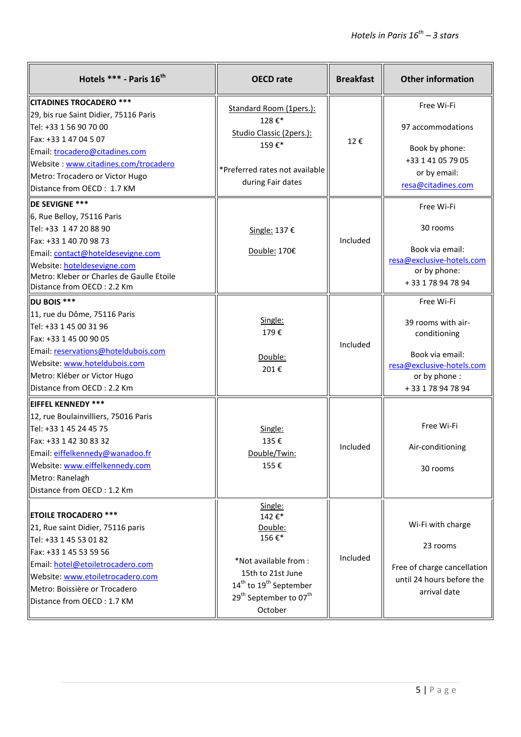| Hotels *** - Paris 16 <sup>th</sup>                                                                                                                                                                                                                            | <b>OECD</b> rate                                                                                                                                                                                  | <b>Breakfast</b> | <b>Other information</b>                                                                                                              |
|----------------------------------------------------------------------------------------------------------------------------------------------------------------------------------------------------------------------------------------------------------------|---------------------------------------------------------------------------------------------------------------------------------------------------------------------------------------------------|------------------|---------------------------------------------------------------------------------------------------------------------------------------|
| CITADINES TROCADERO ***<br>29, bis rue Saint Didier, 75116 Paris<br>Tel: +33 1 56 90 70 00<br>Fax: +33 1 47 04 5 07<br>Email: trocadero@citadines.com<br>Website: www.citadines.com/trocadero<br>Metro: Trocadero or Victor Hugo<br>Distance from OECD: 1.7 KM | Standard Room (1pers.):<br>128€*<br>Studio Classic (2pers.):<br>159€*<br>*Preferred rates not available<br>during Fair dates                                                                      | 12€              | Free Wi-Fi<br>97 accommodations<br>Book by phone:<br>+33 1 41 05 79 05<br>or by email:<br>resa@citadines.com                          |
| DE SEVIGNE ***<br>6, Rue Belloy, 75116 Paris<br>Tel: +33 1 47 20 88 90<br>Fax: +33 1 40 70 98 73<br>Email: contact@hoteldesevigne.com<br>Website: hoteldesevigne.com<br>Metro: Kleber or Charles de Gaulle Etoile<br>Distance from OECD: 2.2 Km                | Single: 137 €<br>Double: 170€                                                                                                                                                                     | Included         | Free Wi-Fi<br>30 rooms<br>Book via email:<br>resa@exclusive-hotels.com<br>or by phone:<br>+33 178 94 78 94                            |
| DU BOIS ***<br>11, rue du Dôme, 75116 Paris<br>Tel: +33 1 45 00 31 96<br>Fax: +33 1 45 00 90 05<br>Email: reservations@hoteldubois.com<br>Website: www.hoteldubois.com<br>Metro: Kléber or Victor Hugo<br>Distance from OECD: 2.2 Km                           | Single:<br>179€<br>Double:<br>201€                                                                                                                                                                | Included         | Free Wi-Fi<br>39 rooms with air-<br>conditioning<br>Book via email:<br>resa@exclusive-hotels.com<br>or by phone :<br>+33 178 94 78 94 |
| <b>EIFFEL KENNEDY ***</b><br>12, rue Boulainvilliers, 75016 Paris<br>Tel: +33 1 45 24 45 75<br>Fax: +33 1 42 30 83 32<br>Email: eiffelkennedy@wanadoo.fr<br>Website: www.eiffelkennedy.com<br>Metro: Ranelagh<br>Distance from OECD: 1.2 Km                    | Single:<br>135€<br>Double/Twin:<br>155€                                                                                                                                                           | Included         | Free Wi-Fi<br>Air-conditioning<br>30 rooms                                                                                            |
| <b>ETOILE TROCADERO ***</b><br>21, Rue saint Didier, 75116 paris<br>Tel: +33 1 45 53 01 82<br>Fax: +33 1 45 53 59 56<br>Email: hotel@etoiletrocadero.com<br>Website: www.etoiletrocadero.com<br>Metro: Boissière or Trocadero<br>Distance from OECD: 1.7 KM    | Single:<br>142€*<br>Double:<br>156€*<br>*Not available from :<br>15th to 21st June<br>14 <sup>th</sup> to 19 <sup>th</sup> September<br>29 <sup>th</sup> September to 07 <sup>th</sup><br>October | Included         | Wi-Fi with charge<br>23 rooms<br>Free of charge cancellation<br>until 24 hours before the<br>arrival date                             |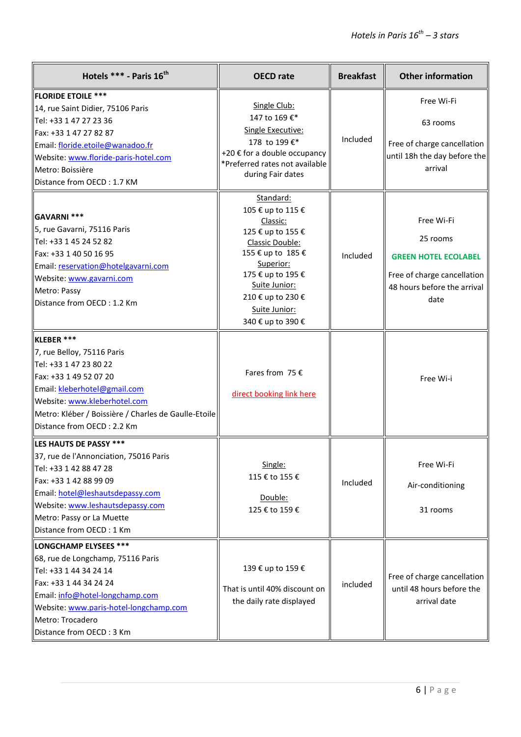| Hotels *** - Paris 16 <sup>th</sup>                                                                                                                                                                                                                           | <b>OECD</b> rate                                                                                                                                                                                                      | <b>Breakfast</b> | <b>Other information</b>                                                                                                    |
|---------------------------------------------------------------------------------------------------------------------------------------------------------------------------------------------------------------------------------------------------------------|-----------------------------------------------------------------------------------------------------------------------------------------------------------------------------------------------------------------------|------------------|-----------------------------------------------------------------------------------------------------------------------------|
| <b>FLORIDE ETOILE ***</b><br>14, rue Saint Didier, 75106 Paris<br>Tel: +33 1 47 27 23 36<br>Fax: +33 1 47 27 82 87<br>Email: floride.etoile@wanadoo.fr<br>Website: www.floride-paris-hotel.com<br>Metro: Boissière<br>Distance from OECD: 1.7 KM              | Single Club:<br>147 to 169 €*<br>Single Executive:<br>178 to 199 €*<br>+20 € for a double occupancy<br>*Preferred rates not available<br>during Fair dates                                                            | Included         | Free Wi-Fi<br>63 rooms<br>Free of charge cancellation<br>until 18h the day before the<br>arrival                            |
| GAVARNI ***<br>5, rue Gavarni, 75116 Paris<br>Tel: +33 1 45 24 52 82<br>Fax: +33 1 40 50 16 95<br>Email: reservation@hotelgavarni.com<br>Website: www.gavarni.com<br>Metro: Passy<br>Distance from OECD: 1.2 Km                                               | Standard:<br>105 € up to 115 €<br>Classic:<br>125 € up to 155 €<br>Classic Double:<br>155 € up to 185 €<br>Superior:<br>175 € up to 195 €<br>Suite Junior:<br>210 € up to 230 €<br>Suite Junior:<br>340 € up to 390 € | Included         | Free Wi-Fi<br>25 rooms<br><b>GREEN HOTEL ECOLABEL</b><br>Free of charge cancellation<br>48 hours before the arrival<br>date |
| KLEBER ***<br>7, rue Belloy, 75116 Paris<br>Tel: +33 1 47 23 80 22<br>Fax: +33 1 49 52 07 20<br>Email: kleberhotel@gmail.com<br>Website: www.kleberhotel.com<br>Metro: Kléber / Boissière / Charles de Gaulle-Etoile<br>Distance from OECD: 2.2 Km            | Fares from 75 $\epsilon$<br>direct booking link here                                                                                                                                                                  |                  | Free Wi-i                                                                                                                   |
| LES HAUTS DE PASSY ***<br>$\vert$ 37, rue de l'Annonciation, 75016 Paris<br>Tel: +33 1 42 88 47 28<br>Fax: +33 1 42 88 99 09<br>Email: hotel@leshautsdepassy.com<br>Website: www.leshautsdepassy.com<br>Metro: Passy or La Muette<br>Distance from OECD: 1 Km | Single:<br>115 € to 155 €<br>Double:<br>125 € to 159 €                                                                                                                                                                | Included         | Free Wi-Fi<br>Air-conditioning<br>31 rooms                                                                                  |
| LONGCHAMP ELYSEES ***<br>68, rue de Longchamp, 75116 Paris<br>Tel: +33 1 44 34 24 14<br>Fax: +33 1 44 34 24 24<br>Email: info@hotel-longchamp.com<br>Website: www.paris-hotel-longchamp.com<br>Metro: Trocadero<br>Distance from OECD: 3 Km                   | 139 € up to 159 €<br>That is until 40% discount on<br>the daily rate displayed                                                                                                                                        | included         | Free of charge cancellation<br>until 48 hours before the<br>arrival date                                                    |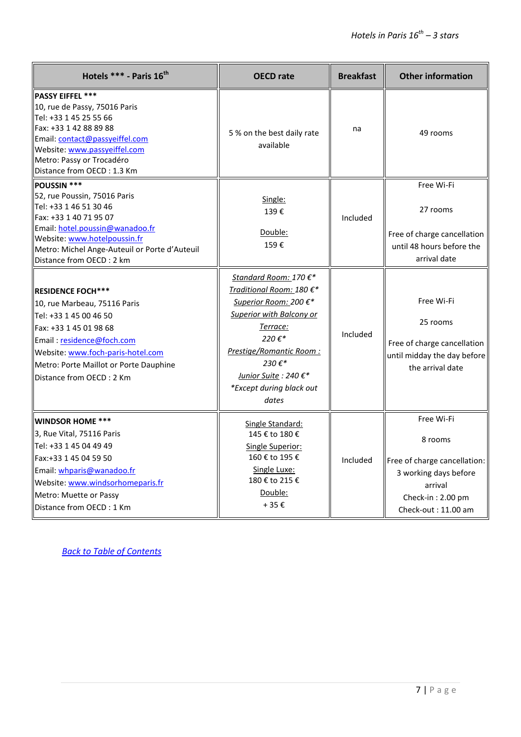| Hotels *** - Paris 16 <sup>th</sup>                                                                                                                                                                                                                   | <b>OECD</b> rate                                                                                                                                                                                                                            | <b>Breakfast</b> | <b>Other information</b>                                                                                                              |
|-------------------------------------------------------------------------------------------------------------------------------------------------------------------------------------------------------------------------------------------------------|---------------------------------------------------------------------------------------------------------------------------------------------------------------------------------------------------------------------------------------------|------------------|---------------------------------------------------------------------------------------------------------------------------------------|
| <b>PASSY EIFFEL ***</b><br>10, rue de Passy, 75016 Paris<br>Tel: +33 1 45 25 55 66<br>Fax: +33 1 42 88 89 88<br>Email: contact@passyeiffel.com<br>Website: www.passyeiffel.com<br>Metro: Passy or Trocadéro<br>Distance from OECD: 1.3 Km             | 5 % on the best daily rate<br>available                                                                                                                                                                                                     | na               | 49 rooms                                                                                                                              |
| POUSSIN ***<br>52, rue Poussin, 75016 Paris<br>Tel: +33 1 46 51 30 46<br>Fax: +33 1 40 71 95 07<br>Email: hotel.poussin@wanadoo.fr<br>Website: www.hotelpoussin.fr<br>Metro: Michel Ange-Auteuil or Porte d'Auteuil<br>Distance from OECD : 2 km      | Single:<br>139€<br>Double:<br>159€                                                                                                                                                                                                          | Included         | Free Wi-Fi<br>27 rooms<br>Free of charge cancellation<br>until 48 hours before the<br>arrival date                                    |
| <b>RESIDENCE FOCH***</b><br>10, rue Marbeau, 75116 Paris<br>lTel: +33 1 45 00 46 50<br>Fax: +33 1 45 01 98 68<br>Email: residence@foch.com<br>Website: www.foch-paris-hotel.com<br>Metro: Porte Maillot or Porte Dauphine<br>Distance from OECD: 2 Km | Standard Room: 170 €*<br>Traditional Room: 180 €*<br>Superior Room: 200 €*<br><b>Superior with Balcony or</b><br><u>Terrace:</u><br>220€*<br>Prestige/Romantic Room:<br>230€*<br>Junior Suite : 240 €*<br>*Except during black out<br>dates | Included         | Free Wi-Fi<br>25 rooms<br>Free of charge cancellation<br>until midday the day before<br>the arrival date                              |
| <b>WINDSOR HOME ***</b><br>3, Rue Vital, 75116 Paris<br>Tel: +33 1 45 04 49 49<br>Fax:+33 1 45 04 59 50<br>Email: whparis@wanadoo.fr<br>Website: www.windsorhomeparis.fr<br>Metro: Muette or Passy<br>Distance from OECD: 1 Km                        | Single Standard:<br>145 € to 180 €<br>Single Superior:<br>160 € to 195 €<br>Single Luxe:<br>180 € to 215 €<br>Double:<br>$+35E$                                                                                                             | Included         | Free Wi-Fi<br>8 rooms<br>Free of charge cancellation:<br>3 working days before<br>arrival<br>Check-in: 2.00 pm<br>Check-out: 11.00 am |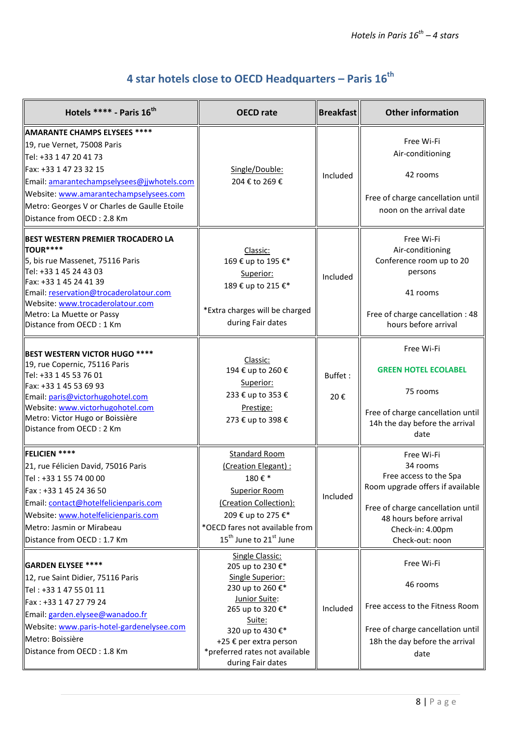# **4 star hotels close to OECD Headquarters – Paris 16th**

<span id="page-7-0"></span>

| Hotels **** - Paris 16 <sup>th</sup>                                                                                                                                                                                                                                                  | <b>OECD</b> rate                                                                                                                                                                                                                | <b>Breakfast</b> | <b>Other information</b>                                                                                                                                                                    |
|---------------------------------------------------------------------------------------------------------------------------------------------------------------------------------------------------------------------------------------------------------------------------------------|---------------------------------------------------------------------------------------------------------------------------------------------------------------------------------------------------------------------------------|------------------|---------------------------------------------------------------------------------------------------------------------------------------------------------------------------------------------|
| AMARANTE CHAMPS ELYSEES ****<br>19, rue Vernet, 75008 Paris<br>Tel: +33 1 47 20 41 73<br>Fax: +33 1 47 23 32 15<br>Email: amarantechampselysees@jjwhotels.com<br>Website: www.amarantechampselysees.com<br>Metro: Georges V or Charles de Gaulle Etoile<br>Distance from OECD: 2.8 Km | Single/Double:<br>204 € to 269 €                                                                                                                                                                                                | Included         | Free Wi-Fi<br>Air-conditioning<br>42 rooms<br>Free of charge cancellation until<br>noon on the arrival date                                                                                 |
| BEST WESTERN PREMIER TROCADERO LA<br>TOUR****<br>5, bis rue Massenet, 75116 Paris<br>Tel: +33 1 45 24 43 03<br>Fax: +33 1 45 24 41 39<br>Email: reservation@trocaderolatour.com<br>Website: www.trocaderolatour.com<br>Metro: La Muette or Passy<br>Distance from OECD: 1 Km          | Classic:<br>169 € up to 195 €*<br>Superior:<br>189 € up to 215 €*<br>*Extra charges will be charged<br>during Fair dates                                                                                                        | Included         | Free Wi-Fi<br>Air-conditioning<br>Conference room up to 20<br>persons<br>41 rooms<br>Free of charge cancellation : 48<br>hours before arrival                                               |
| BEST WESTERN VICTOR HUGO ****<br>19, rue Copernic, 75116 Paris<br>Tel: +33 1 45 53 76 01<br>Fax: +33 1 45 53 69 93<br>Email: paris@victorhugohotel.com<br>Website: www.victorhugohotel.com<br>Metro: Victor Hugo or Boissière<br>Distance from OECD: 2 Km                             | Classic:<br>194 € up to 260 €<br>Superior:<br>233 € up to 353 €<br>Prestige:<br>273 € up to 398 €                                                                                                                               | Buffet:<br>20€   | Free Wi-Fi<br><b>GREEN HOTEL ECOLABEL</b><br>75 rooms<br>Free of charge cancellation until<br>14h the day before the arrival<br>date                                                        |
| FELICIEN ****<br>21, rue Félicien David, 75016 Paris<br>Tel: +33 1 55 74 00 00<br>Fax: +33 1 45 24 36 50<br>Email: contact@hotelfelicienparis.com<br>Website: www.hotelfelicienparis.com<br>Metro: Jasmin or Mirabeau<br>Distance from OECD: 1.7 Km                                   | <b>Standard Room</b><br>(Creation Elegant) :<br>180€*<br><b>Superior Room</b><br>(Creation Collection):<br>209 € up to 275 €*<br>*OECD fares not available from<br>15 <sup>th</sup> June to 21 <sup>st</sup> June               | Included         | Free Wi-Fi<br>34 rooms<br>Free access to the Spa<br>Room upgrade offers if available<br>Free of charge cancellation until<br>48 hours before arrival<br>Check-in: 4.00pm<br>Check-out: noon |
| <b>GARDEN ELYSEE ****</b><br>12, rue Saint Didier, 75116 Paris<br>Tel: +33 1 47 55 01 11<br>Fax: +33 1 47 27 79 24<br>Email: garden.elysee@wanadoo.fr<br>Website: www.paris-hotel-gardenelysee.com<br>Metro: Boissière<br>Distance from OECD: 1.8 Km                                  | Single Classic:<br>205 up to 230 €*<br>Single Superior:<br>230 up to 260 €*<br>Junior Suite:<br>265 up to 320 €*<br>Suite:<br>320 up to 430 €*<br>+25 € per extra person<br>*preferred rates not available<br>during Fair dates | Included         | Free Wi-Fi<br>46 rooms<br>Free access to the Fitness Room<br>Free of charge cancellation until<br>18h the day before the arrival<br>date                                                    |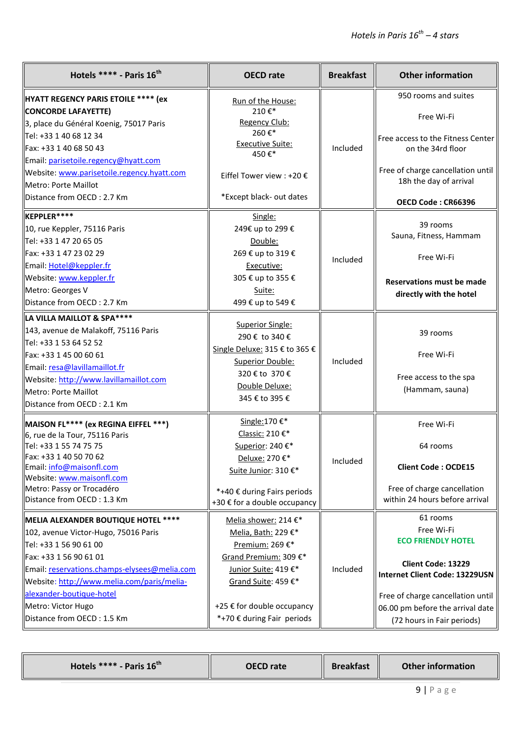| Hotels ***** - Paris $16^{th}$                                                             | <b>OECD</b> rate                                            | <b>Breakfast</b> | <b>Other information</b>           |
|--------------------------------------------------------------------------------------------|-------------------------------------------------------------|------------------|------------------------------------|
| <b>HYATT REGENCY PARIS ETOILE **** (ex</b>                                                 | Run of the House:                                           |                  | 950 rooms and suites               |
| <b>CONCORDE LAFAYETTE)</b>                                                                 | 210€*                                                       |                  | Free Wi-Fi                         |
| 3, place du Général Koenig, 75017 Paris                                                    | Regency Club:<br>260€*                                      |                  |                                    |
| Tel: +33 1 40 68 12 34                                                                     | <b>Executive Suite:</b>                                     |                  | Free access to the Fitness Center  |
| Fax: +33 1 40 68 50 43                                                                     | 450€*                                                       | Included         | on the 34rd floor                  |
| Email: parisetoile.regency@hyatt.com                                                       |                                                             |                  | Free of charge cancellation until  |
| Website: www.parisetoile.regency.hyatt.com<br>Metro: Porte Maillot                         | Eiffel Tower view : +20 €                                   |                  | 18h the day of arrival             |
| Distance from OECD: 2.7 Km                                                                 | *Except black- out dates                                    |                  |                                    |
|                                                                                            |                                                             |                  | OECD Code: CR66396                 |
| KEPPLER****                                                                                | Single:                                                     |                  |                                    |
| 10, rue Keppler, 75116 Paris                                                               | 249€ up to 299 €                                            |                  | 39 rooms<br>Sauna, Fitness, Hammam |
| Tel: +33 1 47 20 65 05                                                                     | Double:                                                     |                  |                                    |
| Fax: +33 1 47 23 02 29                                                                     | 269 € up to 319 €                                           | Included         | Free Wi-Fi                         |
| Email: Hotel@keppler.fr                                                                    | Executive:                                                  |                  |                                    |
| Website: www.keppler.fr                                                                    | 305 € up to 355 €                                           |                  | <b>Reservations must be made</b>   |
| Metro: Georges V                                                                           | Suite:                                                      |                  | directly with the hotel            |
| Distance from OECD: 2.7 Km                                                                 | 499 € up to 549 €                                           |                  |                                    |
| LA VILLA MAILLOT & SPA****                                                                 | Superior Single:                                            |                  |                                    |
| 143, avenue de Malakoff, 75116 Paris                                                       | 290 € to 340 €                                              |                  | 39 rooms                           |
| Tel: +33 1 53 64 52 52                                                                     | Single Deluxe: 315 € to 365 €                               |                  |                                    |
| Fax: +33 1 45 00 60 61                                                                     | <b>Superior Double:</b>                                     | Included         | Free Wi-Fi                         |
| Email: resa@lavillamaillot.fr                                                              | 320 € to 370 €                                              |                  |                                    |
| Website: http://www.lavillamaillot.com                                                     | Double Deluxe:                                              |                  | Free access to the spa             |
| Metro: Porte Maillot                                                                       | 345 € to 395 €                                              |                  | (Hammam, sauna)                    |
| Distance from OECD: 2.1 Km                                                                 |                                                             |                  |                                    |
| MAISON FL**** (ex REGINA EIFFEL ***)                                                       | Single: 170 €*                                              |                  | Free Wi-Fi                         |
| 6, rue de la Tour, 75116 Paris                                                             | Classic: 210 €*                                             |                  |                                    |
| Tel: +33 1 55 74 75 75                                                                     | Superior: 240€*                                             |                  | 64 rooms                           |
| Fax: +33 1 40 50 70 62                                                                     | Deluxe: 270 €*                                              | Included         |                                    |
| Email: info@maisonfl.com<br>Website: www.maisonfl.com                                      | Suite Junior: 310 €*                                        |                  | <b>Client Code: OCDE15</b>         |
| Metro: Passy or Trocadéro                                                                  |                                                             |                  | Free of charge cancellation        |
| Distance from OECD: 1.3 Km                                                                 | *+40 € during Fairs periods<br>+30 € for a double occupancy |                  | within 24 hours before arrival     |
|                                                                                            |                                                             |                  | 61 rooms                           |
| MELIA ALEXANDER BOUTIQUE HOTEL ****                                                        | Melia shower: 214 €*                                        |                  | Free Wi-Fi                         |
| 102, avenue Victor-Hugo, 75016 Paris                                                       | Melia, Bath: 229 €*                                         | Included         | <b>ECO FRIENDLY HOTEL</b>          |
| Tel: +33 1 56 90 61 00<br>Fax: +33 1 56 90 61 01                                           | Premium: 269 €*                                             |                  |                                    |
|                                                                                            | Grand Premium: 309 €*                                       |                  | Client Code: 13229                 |
| Email: reservations.champs-elysees@melia.com<br>Website: http://www.melia.com/paris/melia- | Junior Suite: 419 €*                                        |                  | Internet Client Code: 13229USN     |
| alexander-boutique-hotel                                                                   | Grand Suite: 459 €*                                         |                  |                                    |
| Metro: Victor Hugo                                                                         | +25 € for double occupancy                                  |                  | Free of charge cancellation until  |
| Distance from OECD: 1.5 Km                                                                 | *+70 € during Fair periods                                  |                  | 06.00 pm before the arrival date   |
|                                                                                            |                                                             |                  | (72 hours in Fair periods)         |

|--|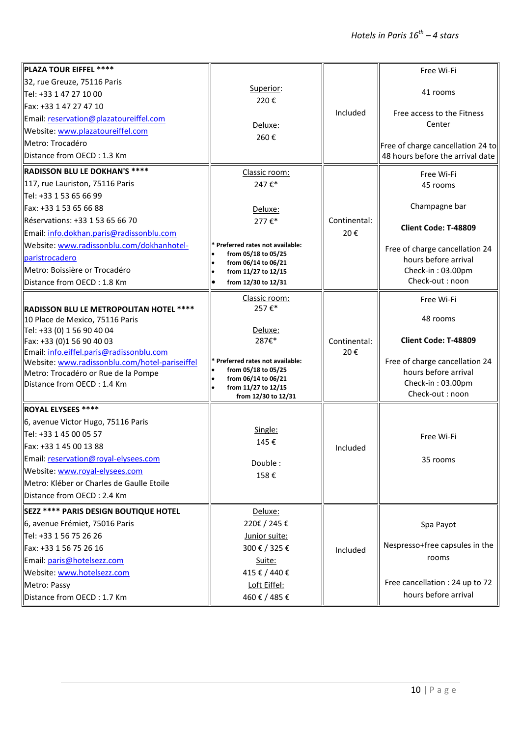| PLAZA TOUR EIFFEL ****                                                                     |                                            |                     | Free Wi-Fi                           |
|--------------------------------------------------------------------------------------------|--------------------------------------------|---------------------|--------------------------------------|
| 32, rue Greuze, 75116 Paris                                                                | Superior:                                  |                     |                                      |
| Tel: +33 1 47 27 10 00                                                                     | 220€                                       |                     | 41 rooms                             |
| Fax: +33 1 47 27 47 10                                                                     |                                            | Included            |                                      |
| Email: reservation@plazatoureiffel.com                                                     |                                            |                     | Free access to the Fitness<br>Center |
| Website: www.plazatoureiffel.com                                                           | Deluxe:<br>260€                            |                     |                                      |
| Metro: Trocadéro                                                                           |                                            |                     | Free of charge cancellation 24 to    |
| Distance from OECD: 1.3 Km                                                                 |                                            |                     | 48 hours before the arrival date     |
| <b>RADISSON BLU LE DOKHAN'S ****</b>                                                       | Classic room:                              |                     | Free Wi-Fi                           |
| 117, rue Lauriston, 75116 Paris                                                            | 247€*                                      |                     | 45 rooms                             |
| Tel: +33 1 53 65 66 99                                                                     |                                            |                     |                                      |
| Fax: +33 1 53 65 66 88                                                                     | Deluxe:                                    |                     | Champagne bar                        |
| Réservations: +33 1 53 65 66 70                                                            | 277€*                                      | Continental:        |                                      |
| Email: info.dokhan.paris@radissonblu.com                                                   |                                            | 20€                 | Client Code: T-48809                 |
| Website: www.radissonblu.com/dokhanhotel-                                                  | * Preferred rates not available:           |                     | Free of charge cancellation 24       |
| paristrocadero                                                                             | from 05/18 to 05/25<br>from 06/14 to 06/21 |                     | hours before arrival                 |
| Metro: Boissière or Trocadéro                                                              | from 11/27 to 12/15                        |                     | Check-in: 03.00pm                    |
| Distance from OECD: 1.8 Km                                                                 | from 12/30 to 12/31                        |                     | Check-out: noon                      |
|                                                                                            | Classic room:                              |                     | Free Wi-Fi                           |
| RADISSON BLU LE METROPOLITAN HOTEL ****                                                    | 257€*                                      |                     |                                      |
| 10 Place de Mexico, 75116 Paris                                                            |                                            |                     | 48 rooms                             |
| Tel: +33 (0) 1 56 90 40 04                                                                 | Deluxe:                                    |                     |                                      |
| Fax: +33 (0)1 56 90 40 03                                                                  | 287€*                                      | Continental:<br>20€ | Client Code: T-48809                 |
| Email: info.eiffel.paris@radissonblu.com<br>Website: www.radissonblu.com/hotel-pariseiffel | * Preferred rates not available:           |                     | Free of charge cancellation 24       |
| Metro: Trocadéro or Rue de la Pompe                                                        | from 05/18 to 05/25                        |                     | hours before arrival                 |
| Distance from OECD: 1.4 Km                                                                 | from 06/14 to 06/21<br>from 11/27 to 12/15 |                     | Check-in: 03.00pm                    |
|                                                                                            | from 12/30 to 12/31                        |                     | Check-out: noon                      |
| ROYAL ELYSEES ****                                                                         |                                            |                     |                                      |
| 6, avenue Victor Hugo, 75116 Paris                                                         |                                            |                     |                                      |
| Tel: +33 1 45 00 05 57                                                                     | Single:                                    |                     | Free Wi-Fi                           |
| Fax: +33 1 45 00 13 88                                                                     | 145€                                       | Included            |                                      |
| Email: reservation@royal-elysees.com                                                       | Double:                                    |                     | 35 rooms                             |
| Website: www.royal-elysees.com                                                             | 158€                                       |                     |                                      |
| Metro: Kléber or Charles de Gaulle Etoile                                                  |                                            |                     |                                      |
| Distance from OECD: 2.4 Km                                                                 |                                            |                     |                                      |
| SEZZ **** PARIS DESIGN BOUTIQUE HOTEL                                                      | Deluxe:                                    |                     |                                      |
| 6, avenue Frémiet, 75016 Paris                                                             | 220€/245€                                  |                     | Spa Payot                            |
| Tel: +33 1 56 75 26 26                                                                     | Junior suite:                              |                     |                                      |
| Fax: +33 1 56 75 26 16                                                                     | 300 € / 325 €                              | Included            | Nespresso+free capsules in the       |
| Email: paris@hotelsezz.com                                                                 | Suite:                                     |                     | rooms                                |
| Website: www.hotelsezz.com                                                                 | 415€/440€                                  |                     |                                      |
| Metro: Passy                                                                               | Loft Eiffel:                               |                     | Free cancellation : 24 up to 72      |
| Distance from OECD: 1.7 Km                                                                 | 460€/485€                                  |                     | hours before arrival                 |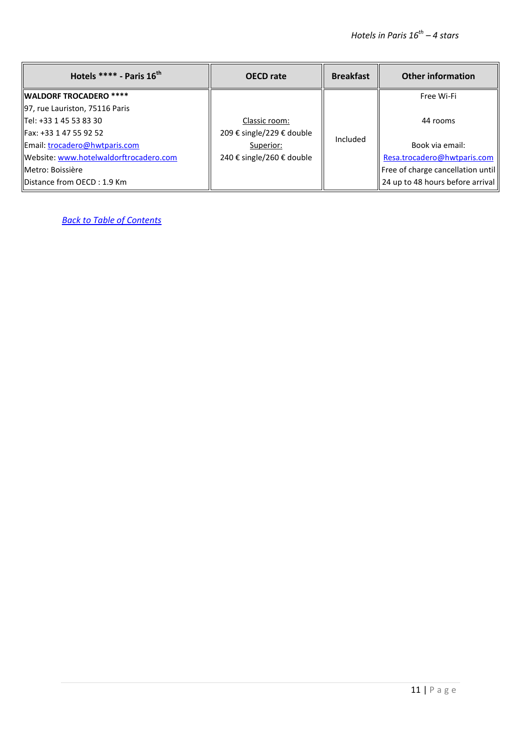| Hotels **** - Paris $16^{th}$          | <b>OECD</b> rate          | <b>Breakfast</b> | <b>Other information</b>          |
|----------------------------------------|---------------------------|------------------|-----------------------------------|
| <b>WALDORF TROCADERO ****</b>          |                           |                  | Free Wi-Fi                        |
| 97, rue Lauriston, 75116 Paris         |                           |                  |                                   |
| Tel: +33 1 45 53 83 30                 | Classic room:             |                  | 44 rooms                          |
| Fax: +33 1 47 55 92 52                 | 209 € single/229 € double | Included         |                                   |
| Email: trocadero@hwtparis.com          | Superior:                 |                  | Book via email:                   |
| Website: www.hotelwaldorftrocadero.com | 240 € single/260 € double |                  | Resa.trocadero@hwtparis.com       |
| Metro: Boissière                       |                           |                  | Free of charge cancellation until |
| <b>IDistance from OECD: 1.9 Km</b>     |                           |                  | 24 up to 48 hours before arrival  |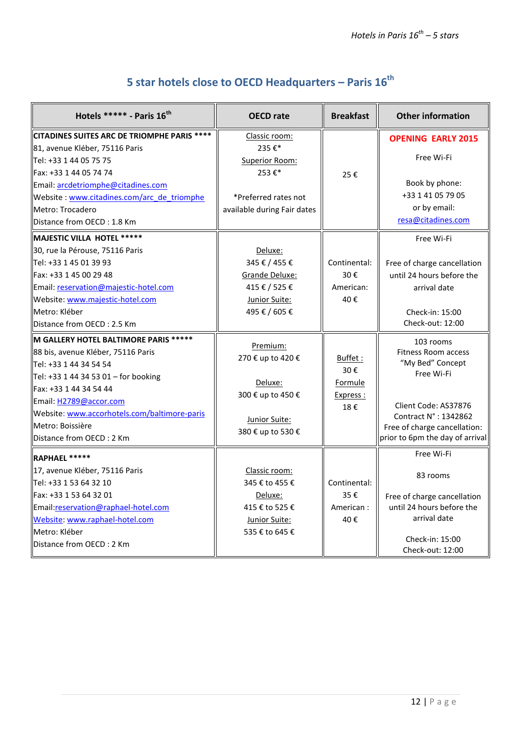# **5 star hotels close to OECD Headquarters – Paris 16th**

<span id="page-11-0"></span>

| Hotels ***** - Paris 16th                          | <b>OECD</b> rate                   | <b>Breakfast</b> | <b>Other information</b>        |
|----------------------------------------------------|------------------------------------|------------------|---------------------------------|
| <b>CITADINES SUITES ARC DE TRIOMPHE PARIS ****</b> | Classic room:                      |                  | <b>OPENING EARLY 2015</b>       |
| 81, avenue Kléber, 75116 Paris                     | 235€*                              |                  |                                 |
| Tel: +33 1 44 05 75 75                             | Superior Room:                     |                  | Free Wi-Fi                      |
| lFax: +33 1 44 05 74 74                            | 253€*                              | 25€              |                                 |
| Email: arcdetriomphe@citadines.com                 |                                    |                  | Book by phone:                  |
| Website: www.citadines.com/arc_de_triomphe         | *Preferred rates not               |                  | +33 1 41 05 79 05               |
| Metro: Trocadero                                   | available during Fair dates        |                  | or by email:                    |
| Distance from OECD: 1.8 Km                         |                                    |                  | resa@citadines.com              |
| MAJESTIC VILLA HOTEL *****                         |                                    |                  | Free Wi-Fi                      |
| 30, rue la Pérouse, 75116 Paris                    | Deluxe:                            |                  |                                 |
| Tel: +33 1 45 01 39 93                             | 345 € / 455 €                      | Continental:     | Free of charge cancellation     |
| llFax: +33 1 45 00 29 48                           | Grande Deluxe:                     | 30€              | until 24 hours before the       |
| Email: reservation@majestic-hotel.com              | 415 € / 525 €                      | American:        | arrival date                    |
| Website: www.majestic-hotel.com                    | Junior Suite:                      | 40€              |                                 |
| Metro: Kléber                                      | 495 € / 605 €                      |                  | Check-in: 15:00                 |
| Distance from OECD: 2.5 Km                         |                                    |                  | Check-out: 12:00                |
| <b>M GALLERY HOTEL BALTIMORE PARIS *****</b>       |                                    |                  | 103 rooms                       |
| 88 bis, avenue Kléber, 75116 Paris                 | Premium:<br>270 € up to 420 €      |                  | <b>Fitness Room access</b>      |
| Tel: +33 1 44 34 54 54                             |                                    | Buffet:<br>30€   | "My Bed" Concept                |
| Tel: +33 1 44 34 53 01 - for booking               | Deluxe:                            |                  | Free Wi-Fi                      |
| Fax: +33 1 44 34 54 44                             |                                    | Formule          |                                 |
| Email: H2789@accor.com                             | 300 € up to 450 €                  | Express :<br>18€ | Client Code: AS37876            |
| Website: www.accorhotels.com/baltimore-paris       |                                    |                  | Contract N° : 1342862           |
| Metro: Boissière                                   | Junior Suite:<br>380 € up to 530 € |                  | Free of charge cancellation:    |
| Distance from OECD: 2 Km                           |                                    |                  | prior to 6pm the day of arrival |
| RAPHAEL *****                                      |                                    |                  | Free Wi-Fi                      |
| 17, avenue Kléber, 75116 Paris                     | Classic room:                      |                  |                                 |
| Tel: +33 1 53 64 32 10                             | 345 € to 455 €                     | Continental:     | 83 rooms                        |
| llFax: +33 1 53 64 32 01                           | Deluxe:                            | 35€              | Free of charge cancellation     |
| Email:reservation@raphael-hotel.com                | 415 € to 525 €                     | American:        | until 24 hours before the       |
| Website: www.raphael-hotel.com                     | Junior Suite:                      | 40€              | arrival date                    |
| Metro: Kléber                                      | 535 € to 645 €                     |                  |                                 |
| Distance from OECD: 2 Km                           |                                    |                  | Check-in: 15:00                 |
|                                                    |                                    |                  | Check-out: 12:00                |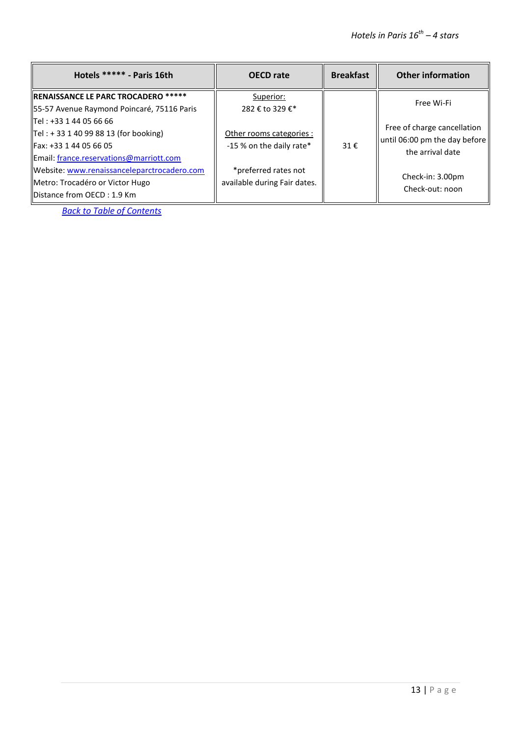| Hotels ***** - Paris 16th                                                                                                                  | <b>OECD</b> rate                                     | <b>Breakfast</b> | <b>Other information</b>                                                         |
|--------------------------------------------------------------------------------------------------------------------------------------------|------------------------------------------------------|------------------|----------------------------------------------------------------------------------|
| <b>RENAISSANCE LE PARC TROCADERO *****</b><br>55-57 Avenue Raymond Poincaré, 75116 Paris                                                   | Superior:<br>282 € to 329 €*                         |                  | Free Wi-Fi                                                                       |
| llTel : +33 1 44 05 66 66<br>$Tel: + 33 1 40 99 88 13$ (for booking)<br>IFax: +33 1 44 05 66 05<br>Email: france.reservations@marriott.com | Other rooms categories :<br>-15 % on the daily rate* | 31€              | Free of charge cancellation<br>until 06:00 pm the day before<br>the arrival date |
| Website: www.renaissanceleparctrocadero.com<br>Metro: Trocadéro or Victor Hugo<br><b>IDistance from OECD: 1.9 Km</b>                       | *preferred rates not<br>available during Fair dates. |                  | Check-in: 3.00pm<br>Check-out: noon                                              |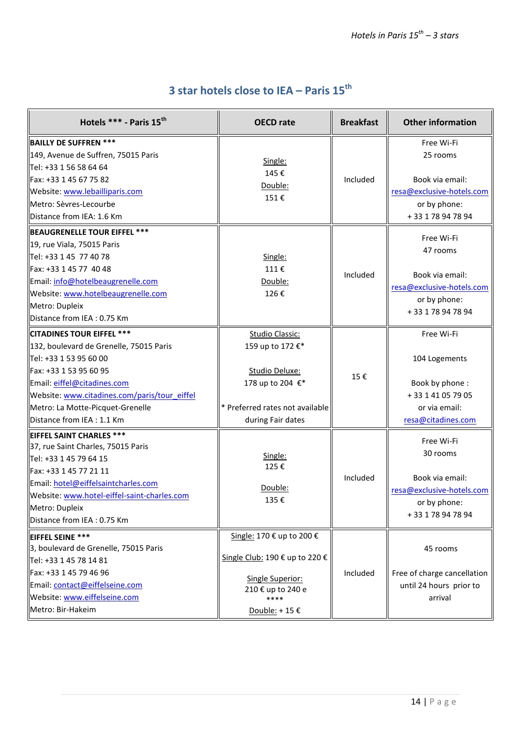## **3 star hotels close to IEA – Paris 15th**

<span id="page-13-0"></span>

| Hotels *** - Paris 15 <sup>th</sup>                                                                                                                                                                                                                                              | <b>OECD</b> rate                                                                                                                         | <b>Breakfast</b> | <b>Other information</b>                                                                                    |
|----------------------------------------------------------------------------------------------------------------------------------------------------------------------------------------------------------------------------------------------------------------------------------|------------------------------------------------------------------------------------------------------------------------------------------|------------------|-------------------------------------------------------------------------------------------------------------|
| <b>BAILLY DE SUFFREN ***</b><br>149, Avenue de Suffren, 75015 Paris<br>Tel: +33 1 56 58 64 64<br>Fax: +33 1 45 67 75 82<br>Website: www.lebailliparis.com<br>Metro: Sèvres-Lecourbe<br>Distance from IEA: 1.6 Km                                                                 | Single:<br>145€<br>Double:<br>151€                                                                                                       | Included         | Free Wi-Fi<br>25 rooms<br>Book via email:<br>resa@exclusive-hotels.com<br>or by phone:<br>+33 178 94 78 94  |
| <b>BEAUGRENELLE TOUR EIFFEL ***</b><br>19, rue Viala, 75015 Paris<br>Tel: +33 1 45 77 40 78<br>Fax: +33 1 45 77 40 48<br>Email: info@hotelbeaugrenelle.com<br>Website: www.hotelbeaugrenelle.com<br>Metro: Dupleix<br>Distance from IEA: 0.75 Km                                 | Single:<br>111€<br>Double:<br>126€                                                                                                       | Included         | Free Wi-Fi<br>47 rooms<br>Book via email:<br>resa@exclusive-hotels.com<br>or by phone:<br>+33 1 78 94 78 94 |
| <b>CITADINES TOUR EIFFEL ***</b><br>132, boulevard de Grenelle, 75015 Paris<br>Tel: +33 1 53 95 60 00<br>Fax: +33 1 53 95 60 95<br>Email: eiffel@citadines.com<br>Website: www.citadines.com/paris/tour_eiffel<br>Metro: La Motte-Picquet-Grenelle<br>Distance from IEA : 1.1 Km | <b>Studio Classic:</b><br>159 up to 172 €*<br>Studio Deluxe:<br>178 up to 204 €*<br>* Preferred rates not available<br>during Fair dates | 15€              | Free Wi-Fi<br>104 Logements<br>Book by phone:<br>+33 1 41 05 79 05<br>or via email:<br>resa@citadines.com   |
| <b>EIFFEL SAINT CHARLES ***</b><br>37, rue Saint Charles, 75015 Paris<br>Tel: +33 1 45 79 64 15<br>Fax: +33 1 45 77 21 11<br>Email: hotel@eiffelsaintcharles.com<br>Website: www.hotel-eiffel-saint-charles.com<br>Metro: Dupleix<br>Distance from IEA : 0.75 Km                 | Single:<br>125€<br>Double:<br>135€                                                                                                       | Included         | Free Wi-Fi<br>30 rooms<br>Book via email:<br>resa@exclusive-hotels.com<br>or by phone:<br>+33 1 78 94 78 94 |
| <b>EIFFEL SEINE ***</b><br>3, boulevard de Grenelle, 75015 Paris<br>Tel: +33 1 45 78 14 81<br>Fax: +33 1 45 79 46 96<br>Email: contact@eiffelseine.com<br>Website: www.eiffelseine.com<br>Metro: Bir-Hakeim                                                                      | Single: 170 € up to 200 €<br>Single Club: 190 € up to 220 €<br>Single Superior:<br>210 € up to 240 e<br>****<br>Double: +15 €            | Included         | 45 rooms<br>Free of charge cancellation<br>until 24 hours prior to<br>arrival                               |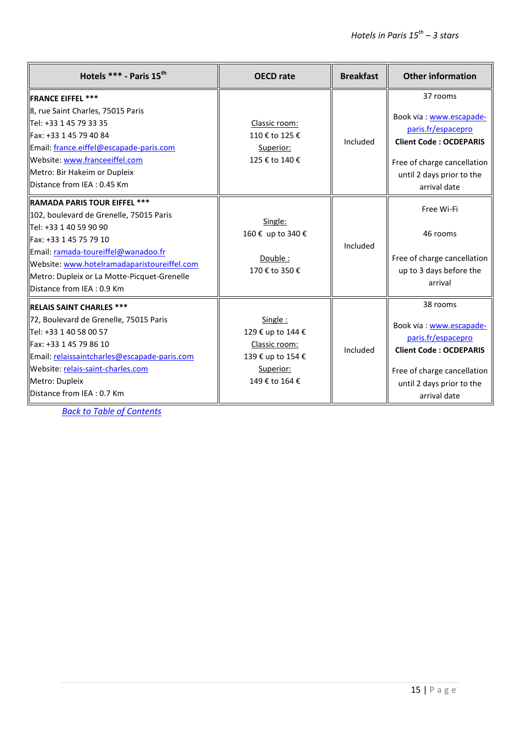| Hotels *** - Paris 15 <sup>th</sup>                                                                                                                                                                                                                                                                  | <b>OECD</b> rate                                                                                  | <b>Breakfast</b> | <b>Other information</b>                                                                                                                                               |
|------------------------------------------------------------------------------------------------------------------------------------------------------------------------------------------------------------------------------------------------------------------------------------------------------|---------------------------------------------------------------------------------------------------|------------------|------------------------------------------------------------------------------------------------------------------------------------------------------------------------|
| <b>IFRANCE EIFFEL ***</b><br>8, rue Saint Charles, 75015 Paris<br>  Tel: +33 1 45 79 33 35<br>llFax: +33 1 45 79 40 84<br>Email: france.eiffel@escapade-paris.com<br>Website: www.franceeiffel.com<br>Metro: Bir Hakeim or Dupleix<br>Distance from IEA : 0.45 Km                                    | Classic room:<br>110 € to 125 €<br>Superior:<br>125 € to 140 €                                    | Included         | 37 rooms<br>Book via: www.escapade-<br>paris.fr/espacepro<br><b>Client Code: OCDEPARIS</b><br>Free of charge cancellation<br>until 2 days prior to the<br>arrival date |
| <b>RAMADA PARIS TOUR EIFFEL ***</b><br>102, boulevard de Grenelle, 75015 Paris<br>Tel: +33 1 40 59 90 90<br>Fax: +33 1 45 75 79 10<br>Email: ramada-toureiffel@wanadoo.fr<br>Website: www.hotelramadaparistoureiffel.com<br>Metro: Dupleix or La Motte-Picquet-Grenelle<br>Distance from IEA: 0.9 Km | Single:<br>160 € up to 340 €<br>Double:<br>170 € to 350 €                                         | Included         | Free Wi-Fi<br>46 rooms<br>Free of charge cancellation<br>up to 3 days before the<br>arrival                                                                            |
| <b>IRELAIS SAINT CHARLES ***</b><br>72, Boulevard de Grenelle, 75015 Paris<br>Tel: +33 1 40 58 00 57<br> Fax: +33 1 45 79 86 10<br>Email: relaissaintcharles@escapade-paris.com<br>Website: relais-saint-charles.com<br>Metro: Dupleix<br>Distance from IEA: 0.7 Km                                  | Single:<br>129 € up to 144 €<br>Classic room:<br>139 € up to 154 €<br>Superior:<br>149 € to 164 € | Included         | 38 rooms<br>Book via: www.escapade-<br>paris.fr/espacepro<br><b>Client Code: OCDEPARIS</b><br>Free of charge cancellation<br>until 2 days prior to the<br>arrival date |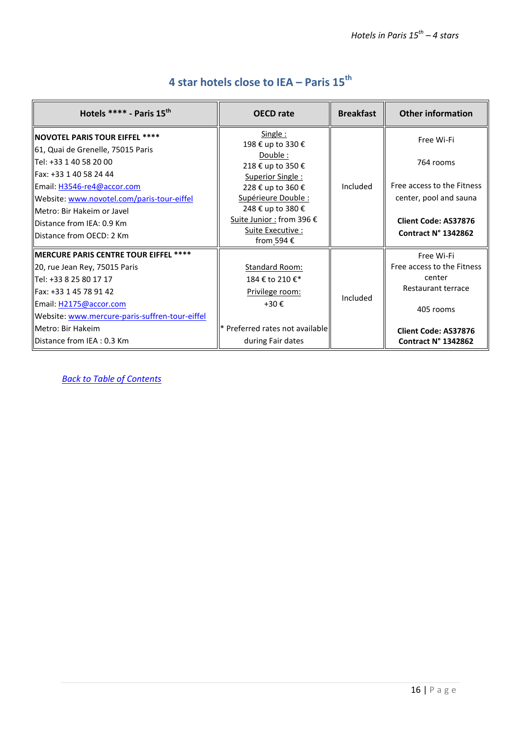<span id="page-15-0"></span>

| Hotels $***$ - Paris 15 <sup>th</sup>                                                                                                                                                                                                                                                                     | <b>OECD</b> rate                                                                                                                                                                                                  | <b>Breakfast</b> | <b>Other information</b>                                                                                                              |
|-----------------------------------------------------------------------------------------------------------------------------------------------------------------------------------------------------------------------------------------------------------------------------------------------------------|-------------------------------------------------------------------------------------------------------------------------------------------------------------------------------------------------------------------|------------------|---------------------------------------------------------------------------------------------------------------------------------------|
| <b>NOVOTEL PARIS TOUR EIFFEL ****</b><br>61, Quai de Grenelle, 75015 Paris<br>llTel: +33 1 40 58 20 00<br>llFax: +33 1 40 58 24 44<br>Email: H3546-re4@accor.com<br>Website: www.novotel.com/paris-tour-eiffel<br>llMetro: Bir Hakeim or Javel<br>Distance from IEA: 0.9 Km<br>llDistance from OECD: 2 Km | Single:<br>198 € up to 330 €<br>Double:<br>218 € up to 350 €<br>Superior Single:<br>228 € up to 360 €<br>Supérieure Double :<br>248 € up to 380 €<br>Suite Junior : from 396 €<br>Suite Executive :<br>from 594 € | Included         | Free Wi-Fi<br>764 rooms<br>Free access to the Fitness<br>center, pool and sauna<br><b>Client Code: AS37876</b><br>Contract N° 1342862 |
| MERCURE PARIS CENTRE TOUR EIFFEL ****<br>20, rue Jean Rey, 75015 Paris<br>  Tel: +33 8 25 80 17 17<br>llFax: +33 1 45 78 91 42<br>Email: H2175@accor.com<br>Website: www.mercure-paris-suffren-tour-eiffel<br>llMetro: Bir Hakeim<br>llDistance from IEA : 0.3 Km                                         | Standard Room:<br>184 € to 210 €*<br>Privilege room:<br>$+30 \epsilon$<br>* Preferred rates not available<br>during Fair dates                                                                                    | Included         | Free Wi-Fi<br>Free access to the Fitness<br>center<br>Restaurant terrace<br>405 rooms<br>Client Code: AS37876<br>Contract N° 1342862  |

#### **4 star hotels close to IEA – Paris 15 th**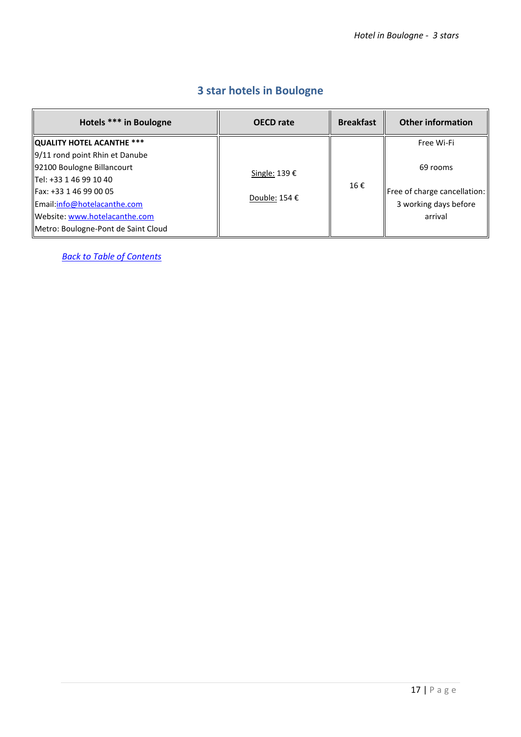|  |  | <b>3 star hotels in Boulogne</b> |  |  |  |
|--|--|----------------------------------|--|--|--|
|--|--|----------------------------------|--|--|--|

<span id="page-16-0"></span>

| Hotels *** in Boulogne                        | <b>OECD</b> rate                        | <b>Breakfast</b> | <b>Other information</b>     |
|-----------------------------------------------|-----------------------------------------|------------------|------------------------------|
| QUALITY HOTEL ACANTHE ***                     |                                         |                  | Free Wi-Fi                   |
| $\left 9/11\right $ rond point Rhin et Danube |                                         |                  |                              |
| 92100 Boulogne Billancourt                    | Single: 139 €<br>Double: 154 $\epsilon$ | 16€              | 69 rooms                     |
| llTel: +33 1 46 99 10 40                      |                                         |                  |                              |
| IFax: +33 1 46 99 00 05                       |                                         |                  | Free of charge cancellation: |
| Email:info@hotelacanthe.com                   |                                         |                  | 3 working days before        |
| Website: www.hotelacanthe.com                 |                                         |                  | arrival                      |
| Metro: Boulogne-Pont de Saint Cloud           |                                         |                  |                              |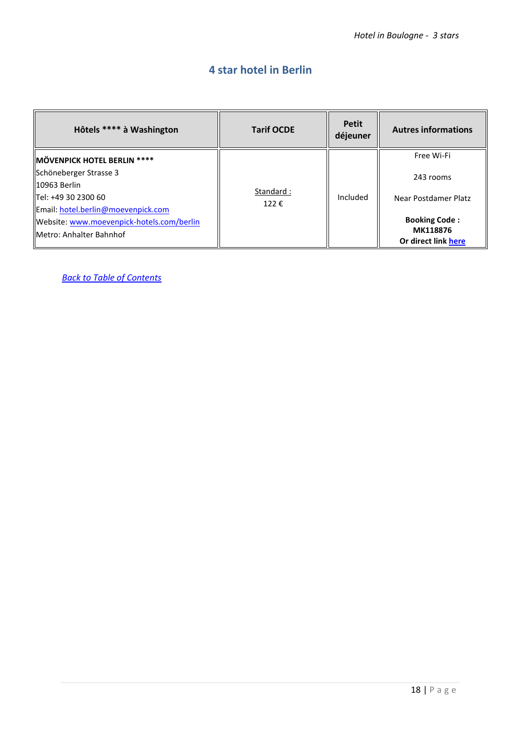#### **4 star hotel in Berlin**

<span id="page-17-0"></span>

| Hôtels **** à Washington                  | <b>Tarif OCDE</b> | <b>Petit</b><br>déjeuner | <b>Autres informations</b>      |
|-------------------------------------------|-------------------|--------------------------|---------------------------------|
| MÖVENPICK HOTEL BERLIN ****               |                   |                          | Free Wi-Fi                      |
| Schöneberger Strasse 3                    |                   |                          | 243 rooms                       |
| 10963 Berlin                              |                   |                          |                                 |
| Tel: +49 30 2300 60                       | Standard:<br>122€ | Included                 | Near Postdamer Platz            |
| Email: hotel.berlin@moevenpick.com        |                   |                          |                                 |
| Website: www.moevenpick-hotels.com/berlin |                   |                          | <b>Booking Code:</b>            |
| llMetro: Anhalter Bahnhof                 |                   |                          | MK118876<br>Or direct link here |
|                                           |                   |                          |                                 |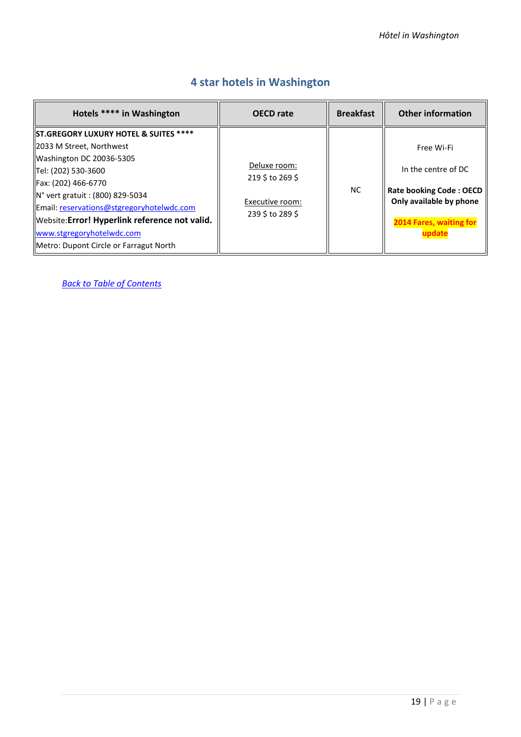<span id="page-18-0"></span>

| Hotels **** in Washington                                                                                                                                                                                                                                                                                                                                         | <b>OECD</b> rate                                                        | <b>Breakfast</b> | <b>Other information</b>                                                                                                                  |
|-------------------------------------------------------------------------------------------------------------------------------------------------------------------------------------------------------------------------------------------------------------------------------------------------------------------------------------------------------------------|-------------------------------------------------------------------------|------------------|-------------------------------------------------------------------------------------------------------------------------------------------|
| <b>IST.GREGORY LUXURY HOTEL &amp; SUITES ****</b><br>2033 M Street, Northwest<br>Washington DC 20036-5305<br>Tel: (202) 530-3600<br>Fax: (202) 466-6770<br>N° vert gratuit : (800) 829-5034<br>Email: reservations@stgregoryhotelwdc.com<br>Website: Error! Hyperlink reference not valid.<br>www.stgregoryhotelwdc.com<br>Metro: Dupont Circle or Farragut North | Deluxe room:<br>219 \$ to 269 \$<br>Executive room:<br>239 \$ to 289 \$ | <b>NC</b>        | Free Wi-Fi<br>In the centre of DC<br><b>Rate booking Code: OECD</b><br>Only available by phone<br><b>2014 Fares, waiting for</b><br>odate |

#### **4 star hotels in Washington**